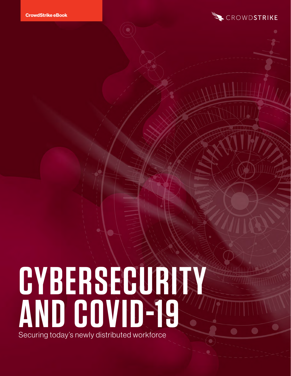

# **CYBERSECURITY AND COVID-19** Securing today's newly distributed workforce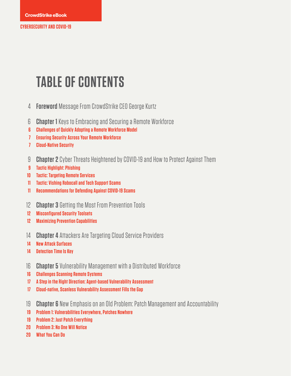## **TABLE OF CONTENTS**

- **[Foreword](#page-3-0)** [Message From CrowdStrike CEO George Kurtz](#page-3-0)
- **[Chapter 1](#page-5-0)** [Keys to Embracing and Securing a Remote Workforce](#page-5-0)
- **[Challenges of Quickly Adopting a Remote Workforce Model](#page-5-0)**
- **[Ensuring Security Across Your Remote Workforce](#page-6-0)**
- **[Cloud-Native Security](#page-6-0)**
- **[Chapter 2](#page-8-0)** [Cyber Threats Heightened by COVID-19 and How to Protect Against Them](#page-8-0)
- **[Tactic Highlight: Phishing](#page-8-0)**
- **[Tactic: Targeting Remote Services](#page-9-0)**
- **[Tactic: Vishing Robocall and Tech Support Scams](#page-10-0)**
- **[Recommendations for Defending Against COVID-19 Scams](#page-10-0)**
- **[Chapter 3](#page-11-0)** [Getting the Most From Prevention Tools](#page-11-0)
- **[Misconfigured Security Toolsets](#page-11-0)**
- **[Maximizing Prevention Capabilities](#page-11-0)**
- **Chapter 4** [Attackers Are Targeting Cloud Service Providers](#page-13-0)
- **[New Attack Surfaces](#page-13-0)**
- [Detection Time Is Key](#page-13-0)
- **[Chapter 5](#page-15-0)** [Vulnerability Management with a Distributed Workforce](#page-15-0)
- **[Challenges Scanning Remote Systems](#page-15-0)**
- **[A Step in the Right Direction: Agent-based Vulnerability Assessment](#page-16-0)**
- **[Cloud-native, Scanless Vulnerability Assessment Fills the Gap](#page-16-0)**
- **[Chapter 6](#page-18-0)** [New Emphasis on an Old Problem: Patch Management and Accountability](#page-18-0)
- **[Problem 1: Vulnerabilities Everywhere, Patches Nowhere](#page-18-0)**
- **[Problem 2: Just Patch Everything](#page-18-0)**
- **[Problem 3: No One Will Notice](#page-19-0)**
- **[What You Can Do](#page-19-0)**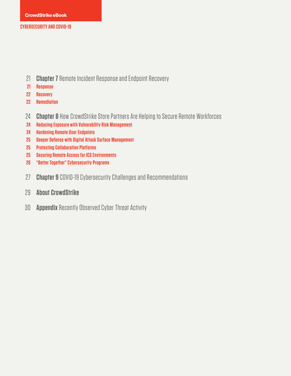- 21 **[Chapter 7](#page-20-0)** [Remote Incident Response and Endpoint Recovery](#page-20-0)
- **[Response](#page-20-0) 21**
- **[Recovery](#page-21-0) 22**
- **[Remediation](#page-21-0) 22**
- **Chapter 8** [How CrowdStrike Store Partners Are Helping to Secure Remote Workforces](#page-23-0) 24
- **[Reducing Exposure with Vulnerability Risk Management](#page-23-0) 24**
- **[Hardening Remote User Endpoints](#page-23-0) 24**
- **[Deeper Defense with Digital Attack Surface Management](#page-24-0) 25**
- **[Protecting Collaboration Platforms](#page-24-0) 25**
- **[Securing Remote Access for ICS Environments](#page-24-0) 25**
- **["Better Together" Cybersecurity Programs](#page-25-0) 26**
- **Chapter 9** [COVID-19 Cybersecurity Challenges and Recommendations](#page-26-0) 27
- **[About CrowdStrike](#page-28-0)** 29
- **[Appendix](#page-29-0)** [Recently Observed Cyber Threat Activity](#page-29-0) 30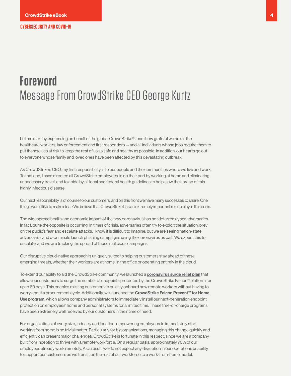## <span id="page-3-0"></span>**Foreword**  Message From CrowdStrike CEO George Kurtz

Let me start by expressing on behalf of the global CrowdStrike® team how grateful we are to the healthcare workers, law enforcement and first responders — and all individuals whose jobs require them to put themselves at risk to keep the rest of us as safe and healthy as possible. In addition, our hearts go out to everyone whose family and loved ones have been affected by this devastating outbreak.

As CrowdStrike's CEO, my first responsibility is to our people and the communities where we live and work. To that end, I have directed all CrowdStrike employees to do their part by working at home and eliminating unnecessary travel, and to abide by all local and federal health guidelines to help slow the spread of this highly infectious disease.

Our next responsibility is of course to our customers, and on this front we have many successes to share. One thing I would like to make clear: We believe that CrowdStrike has an extremely important role to play in this crisis.

The widespread health and economic impact of the new coronavirus has not deterred cyber adversaries. In fact, quite the opposite is occurring. In times of crisis, adversaries often try to exploit the situation, prey on the public's fear and escalate attacks. I know it is difficult to imagine, but we are seeing nation-state adversaries and e-criminals launch phishing campaigns using the coronavirus as bait. We expect this to escalate, and we are tracking the spread of these malicious campaigns.

Our disruptive cloud-native approach is uniquely suited to helping customers stay ahead of these emerging threats, whether their workers are at home, in the office or operating entirely in the cloud.

To extend our ability to aid the CrowdStrike community, we launched a [coronavirus surge relief plan](https://go.crowdstrike.com/WF-Request-Info-Remote-Workers.html?_ga=2.250811334.1319940208.1584565136-1694190141.1583160728&_gac=1.174254742.1584713894.EAIaIQobChMIw-j6w56p6AIVEqrsCh2stQPyEAAYASAAEgKE6_D_BwE) that allows our customers to surge the number of endpoints protected by the CrowdStrike Falcon® platform for up to 60 days. This enables existing customers to quickly onboard new remote workers without having to worry about a procurement cycle. Additionally, we launched the CrowdStrike Falcon Prevent™ for Home [Use program](https://go.crowdstrike.com/WF-Request-Info-Remote-Workers.html?_ga=2.250811334.1319940208.1584565136-1694190141.1583160728&_gac=1.174254742.1584713894.EAIaIQobChMIw-j6w56p6AIVEqrsCh2stQPyEAAYASAAEgKE6_D_BwE), which allows company administrators to immediately install our next-generation endpoint protection on employees' home and personal systems for a limited time. These free-of-charge programs have been extremely well received by our customers in their time of need.

For organizations of every size, industry and location, empowering employees to immediately start working from home is no trivial matter. Particularly for big organizations, managing this change quickly and efficiently can present major challenges. CrowdStrike is fortunate in this respect, since we are a company built from inception to thrive with a remote workforce. On a regular basis, approximately 70% of our employees already work remotely. As a result, we do not expect any disruption in our operations or ability to support our customers as we transition the rest of our workforce to a work-from-home model.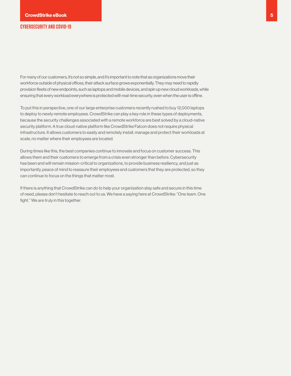For many of our customers, it's not so simple, and it's important to note that as organizations move their workforce outside of physical offices, their attack surface grows exponentially. They may need to rapidly provision fleets of new endpoints, such as laptops and mobile devices, and spin up new cloud workloads, while ensuring that every workload everywhere is protected with real-time security, even when the user is offline.

To put this in perspective, one of our large enterprise customers recently rushed to buy 12,000 laptops to deploy to newly remote employees. CrowdStrike can play a key role in these types of deployments, because the security challenges associated with a remote workforce are best solved by a cloud-native security platform. A true cloud-native platform like CrowdStrike Falcon does not require physical infrastructure. It allows customers to easily and remotely install, manage and protect their workloads at scale, no matter where their employees are located.

During times like this, the best companies continue to innovate and focus on customer success. This allows them and their customers to emerge from a crisis even stronger than before. Cybersecurity has been and will remain mission-critical to organizations, to provide business resiliency, and just as importantly, peace of mind to reassure their employees and customers that they are protected, so they can continue to focus on the things that matter most.

If there is anything that CrowdStrike can do to help your organization stay safe and secure in this time of need, please don't hesitate to reach out to us. We have a saying here at CrowdStrike: "One team. One fight." We are truly in this together.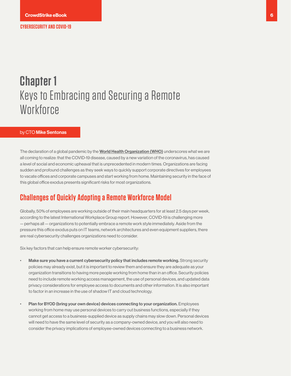## <span id="page-5-0"></span>**Chapter 1** Keys to Embracing and Securing a Remote **Workforce**

#### by CTO Mike Sentonas

The declaration of a global pandemic by the [World Health Organization](https://www.who.int/) (WHO) underscores what we are all coming to realize: that the COVID-19 disease, caused by a new variation of the coronavirus, has caused a level of social and economic upheaval that is unprecedented in modern times. Organizations are facing sudden and profound challenges as they seek ways to quickly support corporate directives for employees to vacate offices and corporate campuses and start working from home. Maintaining security in the face of this global office exodus presents significant risks for most organizations.

### **Challenges of Quickly Adopting a Remote Workforce Model**

Globally, 50% of employees are working outside of their main headquarters for at least 2.5 days per week, according to the latest International Workplace Group report. However, COVID-19 is challenging more — perhaps all — organizations to potentially embrace a remote work style immediately. Aside from the pressure this office exodus puts on IT teams, network architectures and even equipment suppliers, there are real cybersecurity challenges organizations need to consider.

Six key factors that can help ensure remote worker cybersecurity:

- Make sure you have a current cybersecurity policy that includes remote working. Strong security policies may already exist, but it is important to review them and ensure they are adequate as your organization transitions to having more people working from home than in an office. Security policies need to include remote working access management, the use of personal devices, and updated data privacy considerations for employee access to documents and other information. It is also important to factor in an increase in the use of shadow IT and cloud technology.
- Plan for BYOD (bring your own device) devices connecting to your organization. Employees working from home may use personal devices to carry out business functions, especially if they cannot get access to a business-supplied device as supply chains may slow down. Personal devices will need to have the same level of security as a company-owned device, and you will also need to consider the privacy implications of employee-owned devices connecting to a business network.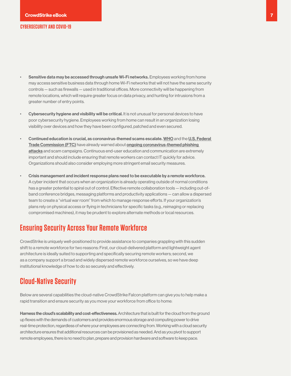- <span id="page-6-0"></span>Sensitive data may be accessed through unsafe Wi-Fi networks. Employees working from home may access sensitive business data through home Wi-Fi networks that will not have the same security controls — such as firewalls — used in traditional offices. More connectivity will be happening from remote locations, which will require greater focus on data privacy, and hunting for intrusions from a greater number of entry points.
- Cybersecurity hygiene and visibility will be critical. It is not unusual for personal devices to have poor cybersecurity hygiene. Employees working from home can result in an organization losing visibility over devices and how they have been configured, patched and even secured.
- Continued education is crucial, as coronavirus-themed scams escalate. [WHO](https://www.who.int/about/communications/cyber-security) and the [U.S. Federal](https://www.consumer.ftc.gov/blog/2020/02/coronavirus-scammers-follow-headlines)  [Trade Commission \(FTC\)](https://www.consumer.ftc.gov/blog/2020/02/coronavirus-scammers-follow-headlines) have already warned about [ongoing coronavirus-themed phishing](https://www.cbsnews.com/news/coronavirus-cybercriminals-capitalize-on-fears-cyber-firm-crowdstrike-says/)  [attacks](https://www.cbsnews.com/news/coronavirus-cybercriminals-capitalize-on-fears-cyber-firm-crowdstrike-says/) and scam campaigns. Continuous end-user education and communication are extremely important and should include ensuring that remote workers can contact IT quickly for advice. Organizations should also consider employing more stringent email security measures.
- Crisis management and incident response plans need to be executable by a remote workforce. A cyber incident that occurs when an organization is already operating outside of normal conditions has a greater potential to spiral out of control. Effective remote collaboration tools — including out-ofband conference bridges, messaging platforms and productivity applications — can allow a dispersed team to create a "virtual war room" from which to manage response efforts. If your organization's plans rely on physical access or flying in technicians for specific tasks (e.g., reimaging or replacing compromised machines), it may be prudent to explore alternate methods or local resources.

## **Ensuring Security Across Your Remote Workforce**

CrowdStrike is uniquely well-positioned to provide assistance to companies grappling with this sudden shift to a remote workforce for two reasons: First, our cloud-delivered platform and lightweight agent architecture is ideally suited to supporting and specifically securing remote workers; second, we as a company support a broad and widely dispersed remote workforce ourselves, so we have deep institutional knowledge of how to do so securely and effectively.

## **Cloud-Native Security**

Below are several capabilities the cloud-native CrowdStrike Falcon platform can give you to help make a rapid transition and ensure security as you move your workforce from office to home:

Harness the cloud's scalability and cost-effectiveness. Architecture that is built for the cloud from the ground up flexes with the demands of customers and provides enormous storage and computing power to drive real-time protection, regardless of where your employees are connecting from. Working with a cloud security architecture ensures that additional resources can be provisioned as needed. And as you pivot to support remote employees, there is no need to plan, prepare and provision hardware and software to keep pace.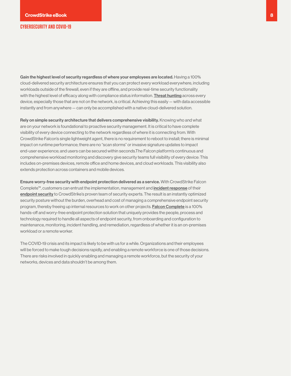Gain the highest level of security regardless of where your employees are located. Having a 100% cloud-delivered security architecture ensures that you can protect every workload everywhere, including workloads outside of the firewall, even if they are offline, and provide real-time security functionality with the highest level of efficacy along with compliance status information. **[Threat hunting](https://www.crowdstrike.com/epp-101/threat-hunting/)** across every device, especially those that are not on the network, is critical. Achieving this easily — with data accessible instantly and from anywhere — can only be accomplished with a native cloud-delivered solution.

Rely on simple security architecture that delivers comprehensive visibility. Knowing who and what are on your network is foundational to proactive security management. It is critical to have complete visibility of every device connecting to the network regardless of where it is connecting from. With CrowdStrike Falcon's single lightweight agent, there is no requirement to reboot to install; there is minimal impact on runtime performance; there are no "scan storms" or invasive signature updates to impact end-user experience; and users can be secured within seconds.The Falcon platform's continuous and comprehensive workload monitoring and discovery give security teams full visibility of every device: This includes on-premises devices, remote office and home devices, and cloud workloads. This visibility also extends protection across containers and mobile devices.

Ensure worry-free security with endpoint protection delivered as a service. With CrowdStrike Falcon Complete™, customers can entrust the implementation, management and [incident response](https://www.crowdstrike.com/epp-101/incident-response-ir-plan/) of their [endpoint security](https://www.crowdstrike.com/epp-101/endpoint-security/) to CrowdStrike's proven team of security experts. The result is an instantly optimized security posture without the burden, overhead and cost of managing a comprehensive endpoint security program, thereby freeing up internal resources to work on other projects. [Falcon Complete](https://www.crowdstrike.com/endpoint-security-products/falcon-complete/) is a 100% hands-off and worry-free endpoint protection solution that uniquely provides the people, process and technology required to handle all aspects of endpoint security, from onboarding and configuration to maintenance, monitoring, incident handling, and remediation, regardless of whether it is an on-premises workload or a remote worker.

The COVID-19 crisis and its impact is likely to be with us for a while. Organizations and their employees will be forced to make tough decisions rapidly, and enabling a remote workforce is one of those decisions. There are risks involved in quickly enabling and managing a remote workforce, but the security of your networks, devices and data shouldn't be among them.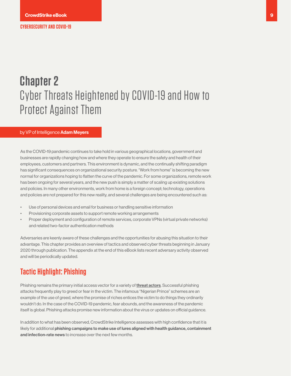## <span id="page-8-0"></span>**Chapter 2**  Cyber Threats Heightened by COVID-19 and How to Protect Against Them

#### by VP of Intelligence Adam Meyers

As the COVID-19 pandemic continues to take hold in various geographical locations, government and businesses are rapidly changing how and where they operate to ensure the safety and health of their employees, customers and partners. This environment is dynamic, and the continually shifting paradigm has significant consequences on organizational security posture. "Work from home" is becoming the new normal for organizations hoping to flatten the curve of the pandemic. For some organizations, remote work has been ongoing for several years, and the new push is simply a matter of scaling up existing solutions and policies. In many other environments, work from home is a foreign concept; technology, operations and policies are not prepared for this new reality, and several challenges are being encountered such as:

- Use of personal devices and email for business or handling sensitive information
- Provisioning corporate assets to support remote working arrangements
- Proper deployment and configuration of remote services, corporate VPNs (virtual private networks) and related two-factor authentication methods

Adversaries are keenly aware of these challenges and the opportunities for abusing this situation to their advantage. This chapter provides an overview of tactics and observed cyber threats beginning in January 2020 through publication. The appendix at the end of this eBook lists recent adversary activity observed and will be periodically updated.

## **Tactic Highlight: Phishing**

Phishing remains the primary initial access vector for a variety of **[threat actors](https://www.crowdstrike.com/blog/meet-the-adversaries/)**. Successful phishing attacks frequently play to greed or fear in the victim. The infamous "Nigerian Prince" schemes are an example of the use of greed, where the promise of riches entices the victim to do things they ordinarily wouldn't do. In the case of the COVID-19 pandemic, fear abounds, and the awareness of the pandemic itself is global. Phishing attacks promise new information about the virus or updates on official guidance.

In addition to what has been observed, CrowdStrike Intelligence assesses with high confidence that it is likely for additional phishing campaigns to make use of lures aligned with health guidance, containment and infection-rate news to increase over the next few months.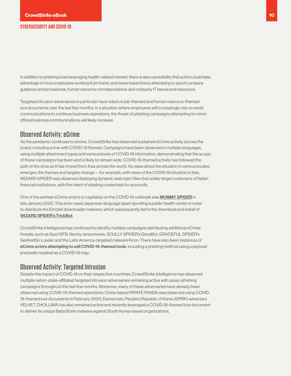<span id="page-9-0"></span>In addition to phishing lures leveraging health-related interest, there is also a possibility that actors could take advantage of more employees working from home, and move toward lures attempting to spoof company guidance and procedures, human resource correspondence and company IT issues and resources.

Targeted intrusion adversaries in particular have relied on job-themed and human resource-themed lure documents over the last few months. In a situation where employees will increasingly rely on email communications to continue business operations, the threat of phishing campaigns attempting to mimic official business communications will likely increase.

#### **Observed Activity: eCrime**

As the pandemic continues to evolve, CrowdStrike has observed sustained eCrime activity across the board, including some with COVID-19 themes. Campaigns have been observed in multiple languages, using multiple attachment types and various levels of COVID-19 information, demonstrating that the scope of these campaigns has been and is likely to remain wide. COVID-19-themed activity has followed the path of the virus as it has moved from Asia across the world. As news about the situation in various locales emerges, the themes and targets change — for example, with news of the COVID-19 situation in Italy, WIZARD SPIDER was observed deploying dynamic web inject files that solely target customers of Italian financial institutions, with the intent of stealing credentials for accounts.

One of the earliest eCrime actors to capitalize on the COVID-19 outbreak was [MUMMY SPIDER](https://www.crowdstrike.com/blog/meet-crowdstrikes-adversary-of-the-month-for-february-mummy-spider/) in late January 2020. This actor used Japanese-language spam spoofing a public health center in order to distribute the Emotet downloader malware, which subsequently led to the download and install of [WIZARD SPIDER's TrickBot](https://www.crowdstrike.com/blog/wizard-spider-lunar-spider-shared-proxy-module/).

CrowdStrike Intelligence has continued to identify multiple campaigns distributing additional eCrime threats, such as Gozi ISFB, Nemty ransomware, SCULLY SPIDER's DanaBot, GRACEFUL SPIDER's GetAndGo Loader and the Latin America-targeted malware Kiron. There have also been instances of eCrime actors attempting to sell COVID-19-themed tools, including a phishing method using a payload preloader masked as a COVID-19 map.

### **Observed Activity: Targeted Intrusion**

Despite the impact of COVID-19 on their respective countries, CrowdStrike Intelligence has observed multiple nation-state-affiliated targeted intrusion adversaries remaining active with spear-phishing campaigns throughout the last few months. Moreover, many of these adversaries have already been observed using COVID-19-themed operations: China-based PIRATE PANDA was observed using COVID-19-themed lure documents in February 2020; Democratic People's Republic of Korea (DPRK) adversary VELVET CHOLLIMA has also remained active and recently leveraged a COVID-19-themed lure document to deliver its unique BabyShark malware against South Korea-based organizations.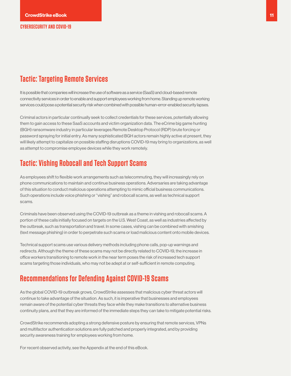## <span id="page-10-0"></span>**Tactic: Targeting Remote Services**

It is possible that companies will increase the use of software as a service (SaaS) and cloud-based remote connectivity services in order to enable and support employees working from home. Standing up remote working services could pose a potential security risk when combined with possible human-error-enabled security lapses.

Criminal actors in particular continually seek to collect credentials for these services, potentially allowing them to gain access to these SaaS accounts and victim organization data. The eCrime big game hunting (BGH) ransomware industry in particular leverages Remote Desktop Protocol (RDP) brute forcing or password spraying for initial entry. As many sophisticated BGH actors remain highly active at present, they will likely attempt to capitalize on possible staffing disruptions COVID-19 may bring to organizations, as well as attempt to compromise employee devices while they work remotely.

## **Tactic: Vishing Robocall and Tech Support Scams**

As employees shift to flexible work arrangements such as telecommuting, they will increasingly rely on phone communications to maintain and continue business operations. Adversaries are taking advantage of this situation to conduct malicious operations attempting to mimic official business communications. Such operations include voice phishing or "vishing" and robocall scams, as well as technical support scams.

Criminals have been observed using the COVID-19 outbreak as a theme in vishing and robocall scams. A portion of these calls initially focused on targets on the U.S. West Coast, as well as industries affected by the outbreak, such as transportation and travel. In some cases, vishing can be combined with smishing (text message phishing) in order to perpetrate such scams or load malicious content onto mobile devices.

Technical support scams use various delivery methods including phone calls, pop-up warnings and redirects. Although the theme of these scams may not be directly related to COVID-19, the increase in office workers transitioning to remote work in the near term poses the risk of increased tech support scams targeting those individuals, who may not be adept at or self-sufficient in remote computing.

## **Recommendations for Defending Against COVID-19 Scams**

As the global COVID-19 outbreak grows, CrowdStrike assesses that malicious cyber threat actors will continue to take advantage of the situation. As such, it is imperative that businesses and employees remain aware of the potential cyber threats they face while they make transitions to alternative business continuity plans, and that they are informed of the immediate steps they can take to mitigate potential risks.

CrowdStrike recommends adopting a strong defensive posture by ensuring that remote services, VPNs and multifactor authentication solutions are fully patched and properly integrated, and by providing security awareness training for employees working from home.

For recent observed activity, see the Appendix at the end of this eBook.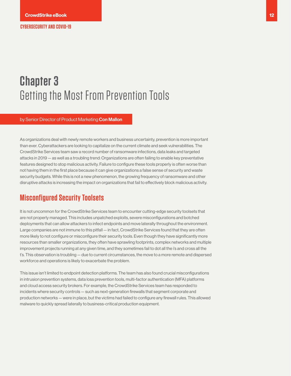## <span id="page-11-0"></span>**Chapter 3**  Getting the Most From Prevention Tools

by Senior Director of Product Marketing Con Mallon

As organizations deal with newly remote workers and business uncertainty, prevention is more important than ever. Cyberattackers are looking to capitalize on the current climate and seek vulnerabilities. The CrowdStrike Services team saw a record number of ransomware infections, data leaks and targeted attacks in 2019 — as well as a troubling trend: Organizations are often failing to enable key preventative features designed to stop malicious activity. Failure to configure these tools properly is often worse than not having them in the first place because it can give organizations a false sense of security and waste security budgets. While this is not a new phenomenon, the growing frequency of ransomware and other disruptive attacks is increasing the impact on organizations that fail to effectively block malicious activity.

## **Misconfigured Security Toolsets**

It is not uncommon for the CrowdStrike Services team to encounter cutting-edge security toolsets that are not properly managed. This includes unpatched exploits, severe misconfigurations and botched deployments that can allow attackers to infect endpoints and move laterally throughout the environment. Large companies are not immune to this pitfall — in fact, CrowdStrike Services found that they are often more likely to not configure or misconfigure their security tools. Even though they have significantly more resources than smaller organizations, they often have sprawling footprints, complex networks and multiple improvement projects running at any given time, and they sometimes fail to dot all the i's and cross all the t's. This observation is troubling — due to current circumstances, the move to a more remote and dispersed workforce and operations is likely to exacerbate the problem.

This issue isn't limited to endpoint detection platforms. The team has also found crucial misconfigurations in intrusion prevention systems, data loss prevention tools, multi-factor authentication (MFA) platforms and cloud access security brokers. For example, the CrowdStrike Services team has responded to incidents where security controls — such as next-generation firewalls that segment corporate and production networks — were in place, but the victims had failed to configure any firewall rules. This allowed malware to quickly spread laterally to business-critical production equipment.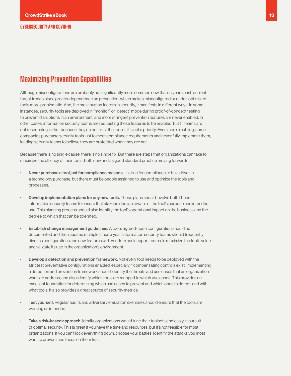## **Maximizing Prevention Capabilities**

Although misconfigurations are probably not significantly more common now than in years past, current threat trends place greater dependence on prevention, which makes misconfigured or under-optimized tools more problematic. And, like most human factors in security, it manifests in different ways. In some instances, security tools are deployed in "monitor" or "detect" mode during proof-of-concept testing to prevent disruptions in an environment, and more stringent prevention features are never enabled. In other cases, information security teams are requesting these features to be enabled, but IT teams are not responding, either because they do not trust the tool or it is not a priority. Even more troubling, some companies purchase security tools just to meet compliance requirements and never fully implement them, leading security teams to believe they are protected when they are not.

Because there is no single cause, there is no single fix. But there are steps that organizations can take to maximize the efficacy of their tools, both now and as good standard practice moving forward:

- Never purchase a tool just for compliance reasons. It is fine for compliance to be a driver in a technology purchase, but there must be people assigned to use and optimize the tools and processes.
- **Develop implementation plans for any new tools.** These plans should involve both IT and information security teams to ensure that stakeholders are aware of the tool's purpose and intended use. This planning process should also identify the tool's operational impact on the business and the degree to which that can be tolerated.
- Establish change management guidelines. A tool's agreed-upon configuration should be documented and then audited multiple times a year. Information security teams should frequently discuss configurations and new features with vendors and support teams to maximize the tool's value and validate its use in the organization's environment.
- Develop a detection and prevention framework. Not every tool needs to be deployed with the strictest preventative configurations enabled, especially if compensating controls exist. Implementing a detection and prevention framework should identify the threats and use cases that an organization wants to address, and also identify which tools are mapped to which use cases. This provides an excellent foundation for determining which use cases to prevent and which ones to detect, and with what tools. It also provides a great source of security metrics.
- Test yourself. Regular audits and adversary emulation exercises should ensure that the tools are working as intended.
- Take a risk-based approach. Ideally, organizations would tune their toolsets endlessly in pursuit of optimal security. This is great if you have the time and resources, but it's not feasible for most organizations. If you can't lock everything down, choose your battles. Identify the attacks you most want to prevent and focus on them first.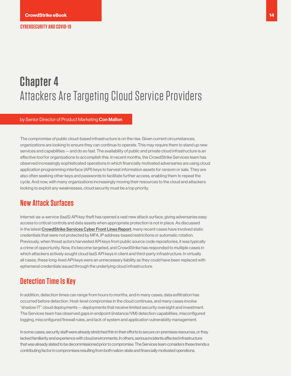## <span id="page-13-0"></span>**Chapter 4** Attackers Are Targeting Cloud Service Providers

by Senior Director of Product Marketing Con Mallon

The compromise of public cloud-based infrastructure is on the rise. Given current circumstances, organizations are looking to ensure they can continue to operate. This may require them to stand up new services and capabilities — and do so fast. The availability of public and private cloud infrastructure is an effective tool for organizations to accomplish this. In recent months, the CrowdStrike Services team has observed increasingly sophisticated operations in which financially motivated adversaries are using cloud application programming interface (API) keys to harvest information assets for ransom or sale. They are also often seeking other keys and passwords to facilitate further access, enabling them to repeat the cycle. And now, with many organizations increasingly moving their resources to the cloud and attackers looking to exploit any weaknesses, cloud security must be a top priority.

### **New Attack Surfaces**

Internet-as-a-service (IaaS) API key theft has opened a vast new attack surface, giving adversaries easy access to critical controls and data assets when appropriate protection is not in place. As discussed in the latest [CrowdStrike Services Cyber Front Lines Report](https://www.crowdstrike.com/resources/reports/crowdstrike-services-cyber-front-lines-2020/), many recent cases have involved static credentials that were not protected by MFA, IP address-based restrictions or automatic rotation. Previously, when threat actors harvested API keys from public source code repositories, it was typically a crime of opportunity. Now, it's become targeted, and CrowdStrike has responded to multiple cases in which attackers actively sought cloud IaaS API keys in client and third-party infrastructure. In virtually all cases, these long-lived API keys were an unnecessary liability as they could have been replaced with ephemeral credentials issued through the underlying cloud infrastructure.

### **Detection Time Is Key**

In addition, detection times can range from hours to months, and in many cases, data exfiltration has occurred before detection. Host-level compromise in the cloud continues, and many cases involve "shadow IT" cloud deployments — deployments that receive limited security oversight and investment. The Services team has observed gaps in endpoint (instance/VM) detection capabilities, misconfigured logging, misconfigured firewall rules, and lack of system and application vulnerability management.

In some cases, security staff were already stretched thin in their efforts to secure on-premises resources, or they lacked familiarity and experience with cloud environments. In others, serious incidents affected infrastructure that was already slated to be decommissioned prior to compromise. The Services team considers these trends a contributing factor in compromises resulting from both nation-state and financially motivated operations.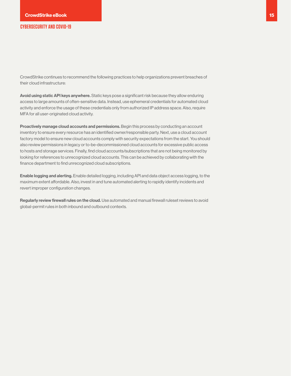CrowdStrike continues to recommend the following practices to help organizations prevent breaches of their cloud infrastructure:

Avoid using static API keys anywhere. Static keys pose a significant risk because they allow enduring access to large amounts of often-sensitive data. Instead, use ephemeral credentials for automated cloud activity and enforce the usage of these credentials only from authorized IP address space. Also, require MFA for all user-originated cloud activity.

Proactively manage cloud accounts and permissions. Begin this process by conducting an account inventory to ensure every resource has an identified owner/responsible party. Next, use a cloud account factory model to ensure new cloud accounts comply with security expectations from the start. You should also review permissions in legacy or to-be-decommissioned cloud accounts for excessive public access to hosts and storage services. Finally, find cloud accounts/subscriptions that are not being monitored by looking for references to unrecognized cloud accounts. This can be achieved by collaborating with the finance department to find unrecognized cloud subscriptions.

Enable logging and alerting. Enable detailed logging, including API and data object access logging, to the maximum extent affordable. Also, invest in and tune automated alerting to rapidly identify incidents and revert improper configuration changes.

Regularly review firewall rules on the cloud. Use automated and manual firewall ruleset reviews to avoid global-permit rules in both inbound and outbound contexts.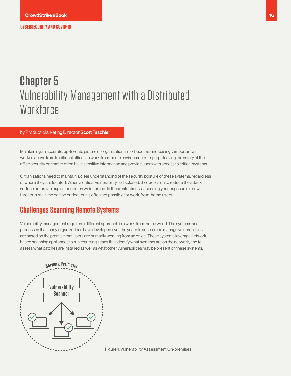## <span id="page-15-0"></span>**Chapter 5**  Vulnerability Management with a Distributed **Workforce**

#### by Product Marketing Director Scott Taschler

Maintaining an accurate, up-to-date picture of organizational risk becomes increasingly important as workers move from traditional offices to work-from-home environments. Laptops leaving the safety of the office security perimeter often have sensitive information and provide users with access to critical systems.

Organizations need to maintain a clear understanding of the security posture of these systems, regardless of where they are located. When a critical vulnerability is disclosed, the race is on to reduce the attack surface before an exploit becomes widespread. In these situations, assessing your exposure to new threats in real time can be critical, but is often not possible for work-from-home users.

### **Challenges Scanning Remote Systems**

Vulnerability management requires a different approach in a work-from-home world. The systems and processes that many organizations have developed over the years to assess and manage vulnerabilities are based on the premise that users are primarily working from an office. These systems leverage networkbased scanning appliances to run recurring scans that identify what systems are on the network, and to assess what patches are installed as well as what other vulnerabilities may be present on these systems.



Figure 1. Vulnerability Assessment On-premises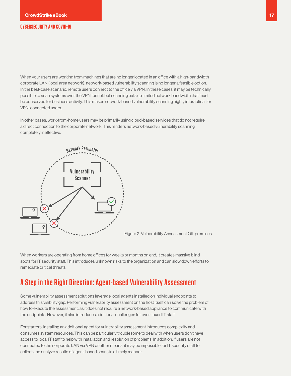<span id="page-16-0"></span>When your users are working from machines that are no longer located in an office with a high-bandwidth corporate LAN (local area network), network-based vulnerability scanning is no longer a feasible option. In the best-case scenario, remote users connect to the office via VPN. In these cases, it may be technically possible to scan systems over the VPN tunnel, but scanning eats up limited network bandwidth that must be conserved for business activity. This makes network-based vulnerability scanning highly impractical for VPN-connected users.

In other cases, work-from-home users may be primarily using cloud-based services that do not require a direct connection to the corporate network. This renders network-based vulnerability scanning completely ineffective.



Figure 2. Vulnerability Assessment Off-premises

When workers are operating from home offices for weeks or months on end, it creates massive blind spots for IT security staff. This introduces unknown risks to the organization and can slow down efforts to remediate critical threats.

### **A Step in the Right Direction: Agent-based Vulnerability Assessment**

Some vulnerability assessment solutions leverage local agents installed on individual endpoints to address this visibility gap. Performing vulnerability assessment on the host itself can solve the problem of how to execute the assessment, as it does not require a network-based appliance to communicate with the endpoints. However, it also introduces additional challenges for over-taxed IT staff.

For starters, installing an additional agent for vulnerability assessment introduces complexity and consumes system resources. This can be particularly troublesome to deal with when users don't have access to local IT staff to help with installation and resolution of problems. In addition, if users are not connected to the corporate LAN via VPN or other means, it may be impossible for IT security staff to collect and analyze results of agent-based scans in a timely manner.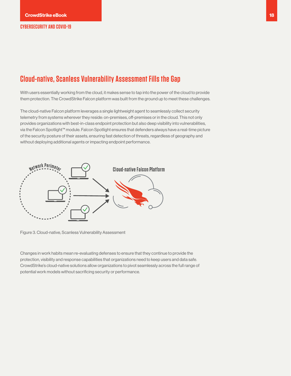## **Cloud-native, Scanless Vulnerability Assessment Fills the Gap**

With users essentially working from the cloud, it makes sense to tap into the power of the cloud to provide them protection. The CrowdStrike Falcon platform was built from the ground up to meet these challenges.

The cloud-native Falcon platform leverages a single lightweight agent to seamlessly collect security telemetry from systems wherever they reside: on-premises, off-premises or in the cloud. This not only provides organizations with best-in-class endpoint protection but also deep visibility into vulnerabilities, via the Falcon Spotlight™ module. Falcon Spotlight ensures that defenders always have a real-time picture of the security posture of their assets, ensuring fast detection of threats, regardless of geography and without deploying additional agents or impacting endpoint performance.



Figure 3. Cloud-native, Scanless Vulnerability Assessment

Changes in work habits mean re-evaluating defenses to ensure that they continue to provide the protection, visibility and response capabilities that organizations need to keep users and data safe. CrowdStrike's cloud-native solutions allow organizations to pivot seamlessly across the full range of potential work models without sacrificing security or performance.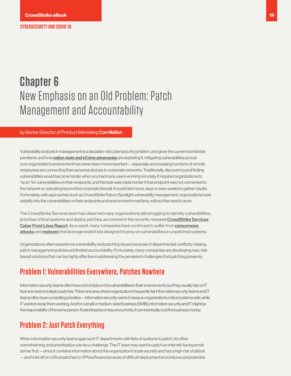## <span id="page-18-0"></span>**Chapter 6** New Emphasis on an Old Problem: Patch Management and Accountability

#### by Senior Director of Product Marketing Con Mallon

Vulnerability and patch management is a decades-old cybersecurity problem, and given the current worldwide pandemic and how[nation-state and eCrime adversaries](https://eu.usatoday.com/story/tech/2020/03/15/coronavirus-cyber-safety-tips-working-home/5034081002/) are exploiting it, mitigating vulnerabilities across your organization's environment has never been more important — especially as increasing numbers of remote employees are connecting their personal devices to corporate networks. Traditionally, discovering and finding vulnerabilities would become harder when you had many users working remotely. It required organizations to "scan" for vulnerabilities on their endpoints, and this task was made harder if that endpoint was not connected to the network or operating beyond the corporate firewall. It could take hours, days or even weeks to gather results. Fortunately, with approaches such as CrowdStrike Falcon Spotlight vulnerability management, organizations have visibility into the vulnerabilities on their endpoints and environment in real time, without the need to scan.

The CrowdStrike Services team has observed many organizations still struggling to identify vulnerabilities, prioritize critical systems and deploy patches, as covered in the recently released [CrowdStrike Services](https://www.crowdstrike.com/resources/reports/crowdstrike-services-cyber-front-lines-2020/)  [Cyber Front Lines Report](https://www.crowdstrike.com/resources/reports/crowdstrike-services-cyber-front-lines-2020/). As a result, many companies have continued to suffer from [ransomware](https://www.crowdstrike.com/epp-101/what-is-ransomware/)  [attacks](https://www.crowdstrike.com/epp-101/what-is-ransomware/) and [malware](https://www.crowdstrike.com/epp-101/malware/) that leverage exploit kits designed to prey on vulnerabilities in unpatched systems.

Organizations often experience vulnerability and patching issues because of departmental conflicts, missing patch management policies and limited accountability. Fortunately, many companies are developing new, riskbased solutions that can be highly effective in addressing the persistent challenges that patching presents.

## **Problem 1: Vulnerabilities Everywhere, Patches Nowhere**

Information security teams often have a lot of data on the vulnerabilities in their environments, but they usually rely on IT teams to test and deploy patches. This is one area where organizations frequently fail. Information security teams and IT teams often have competing priorities — information security wants to keep an organization's critical systems safe, while IT wants to keep them working. And for a small or medium-sized business (SMB), information security and IT might be the responsibility of the same person. If patching becomes a low priority, it can eventually cost the business money.

## **Problem 2: Just Patch Everything**

When information security teams approach IT departments with lists of systems to patch, it's often overwhelming, and prioritization can be a challenge. The IT team may want to patch an internet-facing email server first — since it contains information about the organization's trade secrets and has a high risk of attack — and hold off on critical patches to VPN software because of difficult deployment procedures and potential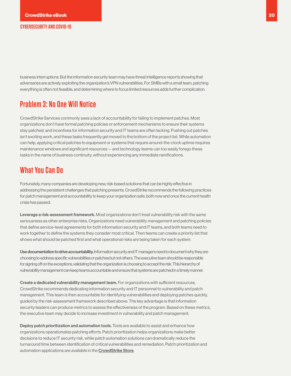<span id="page-19-0"></span>business interruptions. But the information security team may have threat intelligence reports showing that adversaries are actively exploiting the organization's VPN vulnerabilities. For SMBs with a small team, patching everything is often not feasible, and determining where to focus limited resources adds further complication.

## **Problem 3: No One Will Notice**

CrowdStrike Services commonly sees a lack of accountability for failing to implement patches. Most organizations don't have formal patching policies or enforcement mechanisms to ensure their systems stay patched, and incentives for information security and IT teams are often lacking. Pushing out patches isn't exciting work, and these tasks frequently get moved to the bottom of the project list. While automation can help, applying critical patches to equipment or systems that require around-the-clock uptime requires maintenance windows and significant resources — and technology teams can too easily forego these tasks in the name of business continuity, without experiencing any immediate ramifications.

### **What You Can Do**

Fortunately, many companies are developing new, risk-based solutions that can be highly effective in addressing the persistent challenges that patching presents. CrowdStrike recommends the following practices for patch management and accountability to keep your organization safe, both now and once the current health crisis has passed:

Leverage a risk-assessment framework. Most organizations don't treat vulnerability risk with the same seriousness as other enterprise risks. Organizations need vulnerability management and patching policies that define service-level agreements for both information security and IT teams, and both teams need to work together to define the systems they consider most critical. Then teams can create a priority list that shows what should be patched first and what operational risks are being taken for each system.

Use documentation to drive accountability. Information security and IT managers need to document why they are choosing to address specific vulnerabilities or patches but not others. The executive team should be responsible for signing off on the exceptions, validating that the organization is choosing to accept the risk. This hierarchy of vulnerability management can keep teams accountable and ensure that systems are patched in a timely manner.

Create a dedicated vulnerability management team. For organizations with sufficient resources, CrowdStrike recommends dedicating information security and IT personnel to vulnerability and patch management. This team is then accountable for identifying vulnerabilities and deploying patches quickly, guided by the risk-assessment framework described above. The key advantage is that information security leaders can produce metrics to assess the effectiveness of the program. Based on these metrics, the executive team may decide to increase investment in vulnerability and patch management.

Deploy patch prioritization and automation tools. Tools are available to assist and enhance how organizations operationalize patching efforts. Patch prioritization helps organizations make better decisions to reduce IT security risk, while patch automation solutions can dramatically reduce the turnaround time between identification of critical vulnerabilities and remediation. Patch prioritization and automation applications are available in the [CrowdStrike Store](https://www.crowdstrike.com/endpoint-security-products/crowdstrike-store/).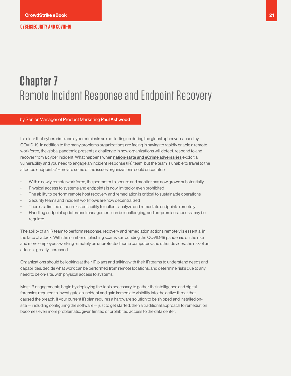## <span id="page-20-0"></span>**Chapter 7** Remote Incident Response and Endpoint Recovery

by Senior Manager of Product Marketing Paul Ashwood

It's clear that cybercrime and cybercriminals are not letting up during the global upheaval caused by COVID-19. In addition to the many problems organizations are facing in having to rapidly enable a remote workforce, the global pandemic presents a challenge in how organizations will detect, respond to and recover from a cyber incident. What happens when [nation-state and eCrime adversaries](https://eu.usatoday.com/story/tech/2020/03/15/coronavirus-cyber-safety-tips-working-home/5034081002/) exploit a vulnerability and you need to engage an incident response (IR) team, but the team is unable to travel to the affected endpoints? Here are some of the issues organizations could encounter:

- With a newly remote workforce, the perimeter to secure and monitor has now grown substantially
- Physical access to systems and endpoints is now limited or even prohibited
- The ability to perform remote host recovery and remediation is critical to sustainable operations
- Security teams and incident workflows are now decentralized
- There is a limited or non-existent ability to collect, analyze and remediate endpoints remotely
- Handling endpoint updates and management can be challenging, and on-premises access may be required

The ability of an IR team to perform response, recovery and remediation actions remotely is essential in the face of attack. With the number of phishing scams surrounding the COVID-19 pandemic on the rise and more employees working remotely on unprotected home computers and other devices, the risk of an attack is greatly increased.

Organizations should be looking at their IR plans and talking with their IR teams to understand needs and capabilities, decide what work can be performed from remote locations, and determine risks due to any need to be on-site, with physical access to systems.

Most IR engagements begin by deploying the tools necessary to gather the intelligence and digital forensics required to investigate an incident and gain immediate visibility into the active threat that caused the breach. If your current IR plan requires a hardware solution to be shipped and installed onsite — including configuring the software — just to get started, then a traditional approach to remediation becomes even more problematic, given limited or prohibited access to the data center.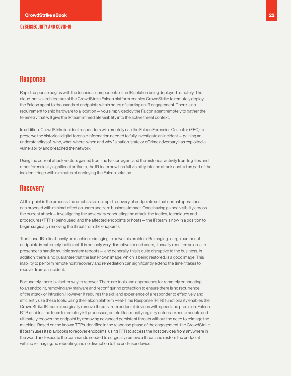### <span id="page-21-0"></span>**Response**

Rapid response begins with the technical components of an IR solution being deployed remotely. The cloud-native architecture of the CrowdStrike Falcon platform enables CrowdStrike to remotely deploy the Falcon agent to thousands of endpoints within hours of starting an IR engagement. There is no requirement to ship hardware to a location — you simply deploy the Falcon agent remotely to gather the telemetry that will give the IR team immediate visibility into the active threat context.

In addition, CrowdStrike incident responders will remotely use the Falcon Forensics Collector (FFC) to preserve the historical digital forensic information needed to fully investigate an incident — gaining an understanding of "who, what, where, when and why" a nation-state or eCrime adversary has exploited a vulnerability and breached the network.

Using the current attack vectors gained from the Falcon agent and the historical activity from log files and other forensically significant artifacts, the IR team now has full visibility into the attack context as part of the incident triage within minutes of deploying the Falcon solution.

### **Recovery**

At this point in the process, the emphasis is on rapid recovery of endpoints so that normal operations can proceed with minimal effect on users and zero business impact. Once having gained visibility across the current attack — investigating the adversary conducting the attack; the tactics, techniques and procedures (TTPs) being used; and the affected endpoints or hosts — the IR team is now in a position to begin surgically removing the threat from the endpoints.

Traditional IR relies heavily on machine reimaging to solve this problem. Reimaging a large number of endpoints is extremely inefficient. It is not only very disruptive for end users, it usually requires an on-site presence to handle multiple system reboots — and generally, this is quite disruptive to the business. In addition, there is no guarantee that the last known image, which is being restored, is a good image. This inability to perform remote host recovery and remediation can significantly extend the time it takes to recover from an incident.

Fortunately, there is a better way to recover. There are tools and approaches for remotely connecting to an endpoint, removing any malware and reconfiguring protection to ensure there is no recurrence of the attack or intrusion. However, it requires the skill and experience of a responder to effectively and efficiently use these tools. Using the Falcon platform Real-Time Response (RTR) functionality enables the CrowdStrike IR team to surgically remove threats from endpoint devices with speed and precision. Falcon RTR enables the team to remotely kill processes, delete files, modify registry entries, execute scripts and ultimately recover the endpoint by removing advanced persistent threats without the need to reimage the machine. Based on the known TTPs identified in the response phase of the engagement, the CrowdStrike IR team uses its playbooks to recover endpoints, using RTR to access the host devices from anywhere in the world and execute the commands needed to surgically remove a threat and restore the endpoint with no reimaging, no rebooting and no disruption to the end-user device.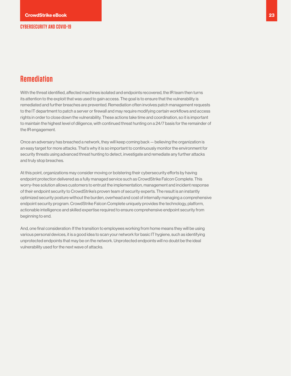## **Remediation**

With the threat identified, affected machines isolated and endpoints recovered, the IR team then turns its attention to the exploit that was used to gain access. The goal is to ensure that the vulnerability is remediated and further breaches are prevented. Remediation often involves patch management requests to the IT department to patch a server or firewall and may require modifying certain workflows and access rights in order to close down the vulnerability. These actions take time and coordination, so it is important to maintain the highest level of diligence, with continued threat hunting on a 24/7 basis for the remainder of the IR engagement.

Once an adversary has breached a network, they will keep coming back — believing the organization is an easy target for more attacks. That's why it is so important to continuously monitor the environment for security threats using advanced threat hunting to detect, investigate and remediate any further attacks and truly stop breaches.

At this point, organizations may consider moving or bolstering their cybersecurity efforts by having endpoint protection delivered as a fully managed service such as CrowdStrike Falcon Complete. This worry-free solution allows customers to entrust the implementation, management and incident response of their endpoint security to CrowdStrike's proven team of security experts. The result is an instantly optimized security posture without the burden, overhead and cost of internally managing a comprehensive endpoint security program. CrowdStrike Falcon Complete uniquely provides the technology, platform, actionable intelligence and skilled expertise required to ensure comprehensive endpoint security from beginning to end.

And, one final consideration: If the transition to employees working from home means they will be using various personal devices, it is a good idea to scan your network for basic IT hygiene, such as identifying unprotected endpoints that may be on the network. Unprotected endpoints will no doubt be the ideal vulnerability used for the next wave of attacks.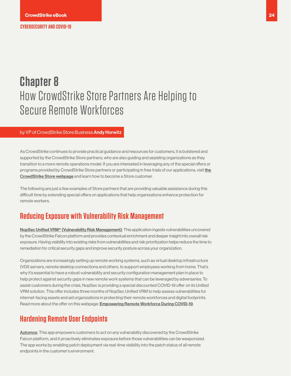## <span id="page-23-0"></span>**Chapter 8** How CrowdStrike Store Partners Are Helping to Secure Remote Workforces

#### by VP of CrowdStrike Store Business Andy Horwitz

As CrowdStrike continues to provide practical guidance and resources for customers, it is bolstered and supported by the CrowdStrike Store partners, who are also guiding and assisting organizations as they transition to a more remote operations model. If you are interested in leveraging any of the special offers or programs provided by CrowdStrike Store partners or participating in free trials of our applications, visit the [CrowdStrike Store webpage](https://www.crowdstrike.com/endpoint-security-products/crowdstrike-store/) and learn how to become a Store customer.

The following are just a few examples of Store partners that are providing valuable assistance during this difficult time by extending special offers on applications that help organizations enhance protection for remote workers.

### **Reducing Exposure with Vulnerability Risk Management**

[NopSec Unified VRM® \(Vulnerability Risk Management\)](https://www.nopsec.com/): This application ingests vulnerabilities uncovered by the CrowdStrike Falcon platform and provides contextual enrichment and deeper insight into overall risk exposure. Having visibility into existing risks from vulnerabilities and risk prioritization helps reduce the time to remediation for critical security gaps and improve security posture across your organization.

Organizations are increasingly setting up remote working systems, such as virtual desktop infrastructure (VDI) servers, remote desktop connections and others, to support employees working from home. That's why it's essential to have a robust vulnerability and security configuration management plan in place to help protect against security gaps in new remote work systems that can be leveraged by adversaries. To assist customers during the crisis, NopSec is providing a special discounted COVID-19 offer on its Unified VRM solution. This offer includes three months of NopSec Unified VRM to help assess vulnerabilities for internet-facing assets and aid organizations in protecting their remote workforces and digital footprints. Read more about the offer on this webpage: **[Empowering Remote Workforce During COVID-19](https://www.nopsec.com/special-offer-covid-19/)**.

### **Hardening Remote User Endpoints**

[Automox](https://www.automox.com/): This app empowers customers to act on any vulnerability discovered by the CrowdStrike Falcon platform, and it proactively eliminates exposure before those vulnerabilities can be weaponized. The app works by enabling patch deployment via real-time visibility into the patch status of all remote endpoints in the customer's environment.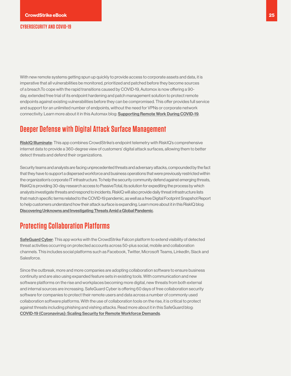<span id="page-24-0"></span>With new remote systems getting spun up quickly to provide access to corporate assets and data, it is imperative that all vulnerabilities be monitored, prioritized and patched before they become sources of a breach.To cope with the rapid transitions caused by COVID-19, Automox is now offering a 90 day, extended free trial of its endpoint hardening and patch management solution to protect remote endpoints against existing vulnerabilities before they can be compromised. This offer provides full service and support for an unlimited number of endpoints, without the need for VPNs or corporate network connectivity. Learn more about it in this Automax blog: [Supporting Remote Work During COVID-19](https://blog.automox.com/remote-work-response).

### **Deeper Defense with Digital Attack Surface Management**

[RiskIQ Illuminate](https://www.riskiq.com/integrations/crowdstrike/): This app combines CrowdStrike's endpoint telemetry with RiskIQ's comprehensive internet data to provide a 360-degree view of customers' digital attack surfaces, allowing them to better detect threats and defend their organizations.

Security teams and analysts are facing unprecedented threats and adversary attacks, compounded by the fact that they have to support a dispersed workforce and business operations that were previously restricted within the organization's corporate IT infrastructure. To help the security community defend against emerging threats, RiskIQ is providing 30-day research access to PassiveTotal, its solution for expediting the process by which analysts investigate threats and respond to incidents. RiskIQ will also provide daily threat infrastructure lists that match specific terms related to the COVID-19 pandemic, as well as a free Digital Footprint Snapshot Report to help customers understand how their attack surface is expanding. Learn more about it in this RiskIQ blog: [Discovering Unknowns and Investigating Threats Amid a Global Pandemic](https://www.riskiq.com/blog/external-threat-management/discovering-unknowns-investigating-threats-covid19/).

## **Protecting Collaboration Platforms**

[SafeGuard Cyber](https://www.safeguardcyber.com/partners/crowdstrike): This app works with the CrowdStrike Falcon platform to extend visibility of detected threat activities occurring on protected accounts across 50-plus social, mobile and collaboration channels. This includes social platforms such as Facebook, Twitter, Microsoft Teams, LinkedIn, Slack and Salesforce.

Since the outbreak, more and more companies are adopting collaboration software to ensure business continuity and are also using expanded feature sets in existing tools. With communication and new software platforms on the rise and workplaces becoming more digital, new threats from both external and internal sources are increasing. SafeGuard Cyber is offering 60 days of free collaboration security software for companies to protect their remote users and data across a number of commonly used collaboration software platforms. With the use of collaboration tools on the rise, it is critical to protect against threats including phishing and vishing attacks. Read more about it in this SafeGuard blog: [COVID-19 \(Coronavirus\): Scaling Security for Remote Workforce Demands](https://www.safeguardcyber.com/blog/covid-19-coronavirus-securing-workforce-slack-microsoft-teams).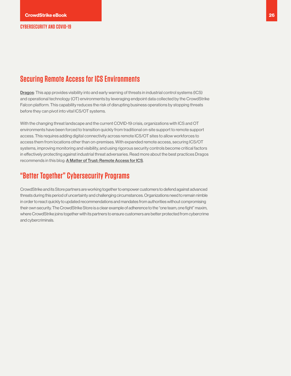## <span id="page-25-0"></span>**Securing Remote Access for ICS Environments**

**[Dragos](http://www.dragos.com/)**: This app provides visibility into and early warning of threats in industrial control systems (ICS) and operational technology (OT) environments by leveraging endpoint data collected by the CrowdStrike Falcon platform. This capability reduces the risk of disrupting business operations by stopping threats before they can pivot into vital ICS/OT systems.

With the changing threat landscape and the current COVID-19 crisis, organizations with ICS and OT environments have been forced to transition quickly from traditional on-site support to remote support access. This requires adding digital connectivity across remote ICS/OT sites to allow workforces to access them from locations other than on-premises. With expanded remote access, securing ICS/OT systems, improving monitoring and visibility, and using rigorous security controls become critical factors in effectively protecting against industrial threat adversaries. Read more about the best practices Dragos recommends in this blog: [A Matter of Trust: Remote Access for ICS](https://dragos.com/blog/industry-news/a-matter-of-trust-remote-access-for-ics/).

## **"Better Together" Cybersecurity Programs**

CrowdStrike and its Store partners are working together to empower customers to defend against advanced threats during this period of uncertainty and challenging circumstances. Organizations need to remain nimble in order to react quickly to updated recommendations and mandates from authorities without compromising their own security. The CrowdStrike Store is a clear example of adherence to the "one team, one fight" maxim, where CrowdStrike joins together with its partners to ensure customers are better protected from cybercrime and cybercriminals.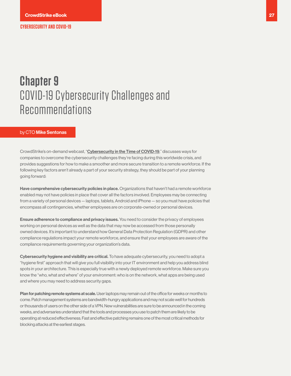## <span id="page-26-0"></span>**Chapter 9**  COVID-19 Cybersecurity Challenges and Recommendations

#### by CTO Mike Sentonas

CrowdStrike's on-demand webcast, "[Cybersecurity in the Time of COVID-19](https://www.crowdstrike.com/resources/crowdcasts/cybersecurity-in-the-time-of-covid-19/)," discusses ways for companies to overcome the cybersecurity challenges they're facing during this worldwide crisis, and provides suggestions for how to make a smoother and more secure transition to a remote workforce. If the following key factors aren't already a part of your security strategy, they should be part of your planning going forward:

Have comprehensive cybersecurity policies in place. Organizations that haven't had a remote workforce enabled may not have policies in place that cover all the factors involved. Employees may be connecting from a variety of personal devices — laptops, tablets, Android and iPhone — so you must have policies that encompass all contingencies, whether employees are on corporate-owned or personal devices.

Ensure adherence to compliance and privacy issues. You need to consider the privacy of employees working on personal devices as well as the data that may now be accessed from those personally owned devices. It's important to understand how General Data Protection Regulation (GDPR) and other compliance regulations impact your remote workforce, and ensure that your employees are aware of the compliance requirements governing your organization's data.

Cybersecurity hygiene and visibility are critical. To have adequate cybersecurity, you need to adopt a "hygiene first" approach that will give you full visibility into your IT environment and help you address blind spots in your architecture. This is especially true with a newly deployed remote workforce. Make sure you know the "who, what and where" of your environment: who is on the network, what apps are being used and where you may need to address security gaps.

Plan for patching remote systems at scale. User laptops may remain out of the office for weeks or months to come. Patch management systems are bandwidth-hungry applications and may not scale well for hundreds or thousands of users on the other side of a VPN. New vulnerabilities are sure to be announced in the coming weeks, and adversaries understand that the tools and processes you use to patch them are likely to be operating at reduced effectiveness. Fast and effective patching remains one of the most critical methods for blocking attacks at the earliest stages.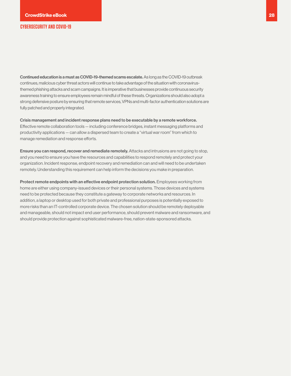Continued education is a must as COVID-19-themed scams escalate. As long as the COVID-19 outbreak continues, malicious cyber threat actors will continue to take advantage of the situation with coronavirusthemed phishing attacks and scam campaigns. It is imperative that businesses provide continuous security awareness training to ensure employees remain mindful of these threats. Organizations should also adopt a strong defensive posture by ensuring that remote services, VPNs and multi-factor authentication solutions are fully patched and properly integrated.

Crisis management and incident response plans need to be executable by a remote workforce. Effective remote collaboration tools — including conference bridges, instant messaging platforms and productivity applications — can allow a dispersed team to create a "virtual war room" from which to manage remediation and response efforts.

Ensure you can respond, recover and remediate remotely. Attacks and intrusions are not going to stop, and you need to ensure you have the resources and capabilities to respond remotely and protect your organization. Incident response, endpoint recovery and remediation can and will need to be undertaken remotely. Understanding this requirement can help inform the decisions you make in preparation.

Protect remote endpoints with an effective endpoint protection solution. Employees working from home are either using company-issued devices or their personal systems. Those devices and systems need to be protected because they constitute a gateway to corporate networks and resources. In addition, a laptop or desktop used for both private and professional purposes is potentially exposed to more risks than an IT-controlled corporate device. The chosen solution should be remotely deployable and manageable, should not impact end user performance, should prevent malware and ransomware, and should provide protection against sophisticated malware-free, nation-state-sponsored attacks.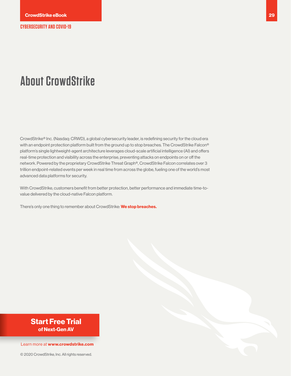## <span id="page-28-0"></span>**About CrowdStrike**

CrowdStrike® Inc. (Nasdaq: CRWD), a global cybersecurity leader, is redefining security for the cloud era with an endpoint protection platform built from the ground up to stop breaches. The CrowdStrike Falcon® platform's single lightweight-agent architecture leverages cloud-scale artificial intelligence (AI) and offers real-time protection and visibility across the enterprise, preventing attacks on endpoints on or off the network. Powered by the proprietary CrowdStrike Threat Graph®, CrowdStrike Falcon correlates over 3 trillion endpoint-related events per week in real time from across the globe, fueling one of the world's most advanced data platforms for security.

With CrowdStrike, customers benefit from better protection, better performance and immediate time-tovalue delivered by the cloud-native Falcon platform.

There's only one thing to remember about CrowdStrike: **We stop breaches.**

## **Start Free Trial<br>
of Next-Gen AV<br>
Learn more at www.crowdstrike.com**<br>
© 2020 CrowdStrike, Inc. All rights reserved. **of Next-Gen AV**

#### Learn more at **www.crowdstrike.com**

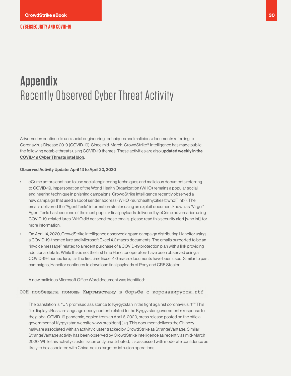## <span id="page-29-0"></span>**Appendix**  Recently Observed Cyber Threat Activity

Adversaries continue to use social engineering techniques and malicious documents referring to Coronavirus Disease 2019 (COVID-19). Since mid-March, CrowdStrike® Intelligence has made public the following notable threats using COVID-19 themes. These activities are also *updated weekly in the* [COVID-19 Cyber Threats intel blog](https://www.crowdstrike.com/blog/covid-19-cyber-threats/).

#### Observed Activity Update: April 13 to April 20, 2020

- eCrime actors continue to use social engineering techniques and malicious documents referring to COVID-19. Impersonation of the World Health Organization (WHO) remains a popular social engineering technique in phishing campaigns. CrowdStrike Intelligence recently observed a new campaign that used a spoof sender address (WHO <eurohealthycities@who[.]int>). The emails delivered the "AgentTesla" information stealer using an exploit document known as "Virgo." AgentTesla has been one of the most popular final payloads delivered by eCrime adversaries using COVID-19-related lures. WHO did not send these emails, please read this security alert [who.int] for more information.
- On April 14, 2020, CrowdStrike Intelligence observed a spam campaign distributing Hancitor using a COVID-19-themed lure and Microsoft Excel 4.0 macro documents. The emails purported to be an "invoice message" related to a recent purchase of a COVID-19 protection plan with a link providing additional details. While this is not the first time Hancitor operators have been observed using a COVID-19-themed lure, it is the first time Excel 4.0 macro documents have been used. Similar to past campaigns, Hancitor continues to download final payloads of Pony and CRE Stealer.

A new malicious Microsoft Office Word document was identified:

ООН пообещала помощь Кыргызстану в борьбе с коронавирусом.rtf

The translation is: "UN promised assistance to Kyrgyzstan in the fight against coronavirus.rtf." This file displays Russian-language decoy content related to the Kyrgyzstan government's response to the global COVID-19 pandemic, copied from an April 6, 2020, press release posted on the official government of Kyrgyzstan website www.president[.]kg. This document delivers the Chinozy malware associated with an activity cluster tracked by CrowdStrike as StrangeVantage. Similar StrangeVantage activity has been observed by CrowdStrike Intelligence as recently as mid-March 2020. While this activity cluster is currently unattributed, it is assessed with moderate confidence as likely to be associated with China-nexus targeted intrusion operations.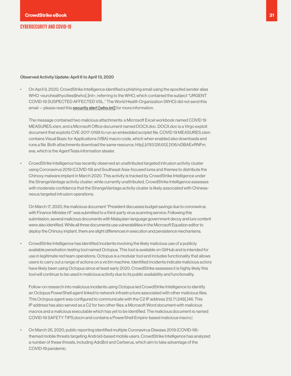#### Observed Activity Update: April 6 to April 13, 2020

• On April 9, 2020, CrowdStrike Intelligence identified a phishing email using the spoofed sender alias WHO <eurohealthycities@who[.]int>, referring to the WHO, which contained the subject "URGENT COVID-19 SUSPECTED AFFECTED VSL." The World Health Organization (WHO) did not send this email – please read this [security alert \[who.int\]](https://www.who.int/about/communications/cyber-security) for more information.

The message contained two malicious attachments: a Microsoft Excel workbook named COVID 19 MEASURES.xlsm, and a Microsoft Office document named DOCX.doc. DOCX.doc is a Virgo exploit document that exploits CVE-2017-0199 to run an embedded scriplet file. COVID 19 MEASURES.xlsm contains Visual Basic for Applications (VBA) macro code, which when enabled also downloads and runs a file. Both attachments download the same resource, http[:]//93.126.60[.]106/vDBAExRNFm. exe, which is the AgentTesla information stealer.

• CrowdStrike Intelligence has recently observed an unattributed targeted intrusion activity cluster using Coronavirus 2019 (COVID-19) and Southeast Asia-focused lures and themes to distribute the Chinoxy malware implant in March 2020. This activity is tracked by CrowdStrike Intelligence under the StrangeVantage activity cluster; while currently unattributed, CrowdStrike Intelligence assesses with moderate confidence that the StrangeVantage activity cluster is likely associated with Chinesenexus targeted intrusion operations.

On March 17, 2020, the malicious document "President discusses budget savings due to coronavirus with Finance Minister.rtf" was submitted to a third-party virus scanning service. Following this submission, several malicious documents with Malaysian-language government decoy and lure content were also identified. While all three documents use vulnerabilities in the Microsoft Equation editor to deploy the Chinoxy implant, there are slight differences in execution and persistence mechanisms.

• CrowdStrike Intelligence has identified incidents involving the likely malicious use of a publicly available penetration testing tool named Octopus. This tool is available on GitHub and is intended for use in legitimate red team operations. Octopus is a modular tool and includes functionality that allows users to carry out a range of actions on a victim machine. Identified incidents indicate malicious actors have likely been using Octopus since at least early 2020. CrowdStrike assesses it is highly likely this tool will continue to be used in malicious activity due to its public availability and functionality.

Follow-on research into malicious incidents using Octopus led CrowdStrike Intelligence to identify an Octopus PowerShell agent linked to network infrastructure associated with other malicious files. This Octopus agent was configured to communicate with the C2 IP address 212.71.248[.]46. This IP address has also served as a C2 for two other files: a Microsoft Word document with malicious macros and a malicious executable which has yet to be identified. The malicious document is named COVID-19 SAFETY TIPS.docm and contains a PowerShell Empire-based malicious macro.|

• On March 26, 2020, public reporting identified multiple Coronavirus Disease 2019 (COVID-19) themed mobile threats targeting Android-based mobile users. CrowdStrike Intelligence has analyzed a number of these threats, including AdoBot and Cerberus, which aim to take advantage of the COVID-19 pandemic.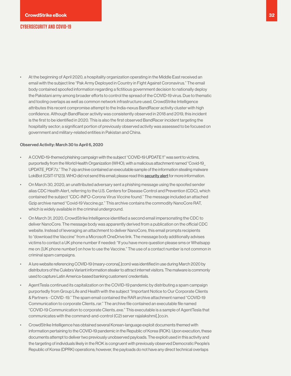• At the beginning of April 2020, a hospitality organization operating in the Middle East received an email with the subject line "Pak Army Deployed in Country in Fight Against Coronavirus." The email body contained spoofed information regarding a fictitious government decision to nationally deploy the Pakistani army among broader efforts to control the spread of the COVID-19 virus. Due to thematic and tooling overlaps as well as common network infrastructure used, CrowdStrike Intelligence attributes this recent compromise attempt to the India-nexus BandRacer activity cluster with high confidence. Although BandRacer activity was consistently observed in 2018 and 2019, this incident is the first to be identified in 2020. This is also the first observed BandRacer incident targeting the hospitality sector; a significant portion of previously observed activity was assessed to be focused on government and military-related entities in Pakistan and China.

#### Observed Activity: March 30 to April 6, 2020

- A COVID-19-themed phishing campaign with the subject "COVID-19 UPDATE !!" was sent to victims, purportedly from the World Health Organization (WHO), with a malicious attachment named "Covid-19\_ UPDATE\_PDF.7z." The 7-zip archive contained an executable sample of the information stealing malware LokiBot (CSIT-17123). WHO did not send this email; please read this [security alert](https://www.who.int/about/communications/cyber-security) for more information.
- On March 30, 2020, an unattributed adversary sent a phishing message using the spoofed sender alias CDC Health Alert, referring to the U.S. Centers for Disease Control and Prevention (CDC), which contained the subject "CDC-INFO-Corona Virus Viccine found." The message included an attached Gzip archive named "Covid-19 Vaccine.gz." This archive contains the commodity NanoCore RAT, which is widely available in the criminal underground.
- On March 31, 2020, CrowdStrike Intelligence identified a second email impersonating the CDC to deliver NanoCore. The message body was apparently derived from a publication on the official CDC website. Instead of leveraging an attachment to deliver NanoCore, this email prompts recipients to "download the Vaccine" from a Microsoft OneDrive link. The message body additionally advises victims to contact a UK phone number if needed: "If you have more question please sms or Whatsapp me on: [UK phone number] on how to use the Vaccine." The use of a contact number is not common in criminal spam campaigns.
- A lure website referencing COVID-19 (masry-corona[.]com) was identified in use during March 2020 by distributors of the Culebra Variant information stealer to attract internet visitors. The malware is commonly used to capture Latin America-based banking customers' credentials.
- AgentTesla continued its capitalization on the COVID-19 pandemic by distributing a spam campaign purportedly from Group Life and Health with the subject "Important Notice to Our Corporate Clients & Partners - COVID -19." The spam email contained the RAR archive attachment named "COVID-19 Communication to corporate Clients..rar." The archive file contained an executable file named "COVID-19 Communication to corporate Clients..exe." This executable is a sample of AgentTesla that communicates with the command-and-control (C2) server rajalakshmi[.]co.in.
- CrowdStrike Intelligence has obtained several Korean-language exploit documents themed with information pertaining to the COVID-19 pandemic in the Republic of Korea (ROK). Upon execution, these documents attempt to deliver two previously unobserved payloads. The exploit used in this activity and the targeting of individuals likely in the ROK is congruent with previously observed Democratic People's Republic of Korea (DPRK) operations; however, the payloads do not have any direct technical overlaps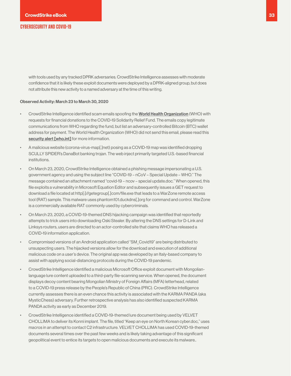with tools used by any tracked DPRK adversaries. CrowdStrike Intelligence assesses with moderate confidence that it is likely these exploit documents were deployed by a DPRK-aligned group, but does not attribute this new activity to a named adversary at the time of this writing.

#### Observed Activity: March 23 to March 30, 2020

- CrowdStrike Intelligence identified scam emails spoofing the [World Health Organization](https://www.who.int/) (WHO) with requests for financial donations to the COVID-19 Solidarity Relief Fund. The emails copy legitimate communications from WHO regarding the fund, but list an adversary-controlled Bitcoin (BTC) wallet address for payment. The World Health Organization (WHO) did not send this email, please read this [security alert \[who.int\]](https://www.who.int/about/communications/cyber-security) for more information.
- A malicious website (corona-virus-map[.]net) posing as a COVID-19 map was identified dropping SCULLY SPIDER's DanaBot banking trojan. The web inject primarily targeted U.S.-based financial institutions.
- On March 23, 2020, CrowdStrike Intelligence obtained a phishing message impersonating a U.S. government agency and using the subject line "COVID-19 – nCoV – Special Update – WHO." The message contained an attachment named "covid-19 – ncov – special update.doc." When opened, this file exploits a vulnerability in Microsoft Equation Editor and subsequently issues a GET request to download a file located at http[:]//getegroup[.]com/file.exe that leads to a WarZone remote access tool (RAT) sample. This malware uses phantom101.duckdns[.]org for command and control. WarZone is a commercially available RAT commonly used by cybercriminals.
- On March 23, 2020, a COVID-19-themed DNS hijacking campaign was identified that reportedly attempts to trick users into downloading Oski Stealer. By altering the DNS settings for D-Link and Linksys routers, users are directed to an actor-controlled site that claims WHO has released a COVID-19 information application.
- Compromised versions of an Android application called "SM\_Covid19" are being distributed to unsuspecting users. The hijacked versions allow for the download and execution of additional malicious code on a user's device. The original app was developed by an Italy-based company to assist with applying social-distancing protocols during the COVID-19 pandemic.
- CrowdStrike Intelligence identified a malicious Microsoft Office exploit document with Mongolianlanguage lure content uploaded to a third-party file-scanning service. When opened, the document displays decoy content bearing Mongolian Ministry of Foreign Affairs (MFA) letterhead, related to a COVID-19 press release by the People's Republic of China (PRC). CrowdStrike Intelligence currently assesses there is an even chance this activity is associated with the KARMA PANDA (aka MysticChess) adversary. Further retrospective analysis has also identified suspected KARMA PANDA activity as early as December 2019.
- CrowdStrike Intelligence identified a COVID-19-themed lure document being used by VELVET CHOLLIMA to deliver its Konni implant. The file, titled "Keep an eye on North Korean cyber.doc," uses macros in an attempt to contact C2 infrastructure. VELVET CHOLLIMA has used COVID-19-themed documents several times over the past few weeks and is likely taking advantage of this significant geopolitical event to entice its targets to open malicious documents and execute its malware..